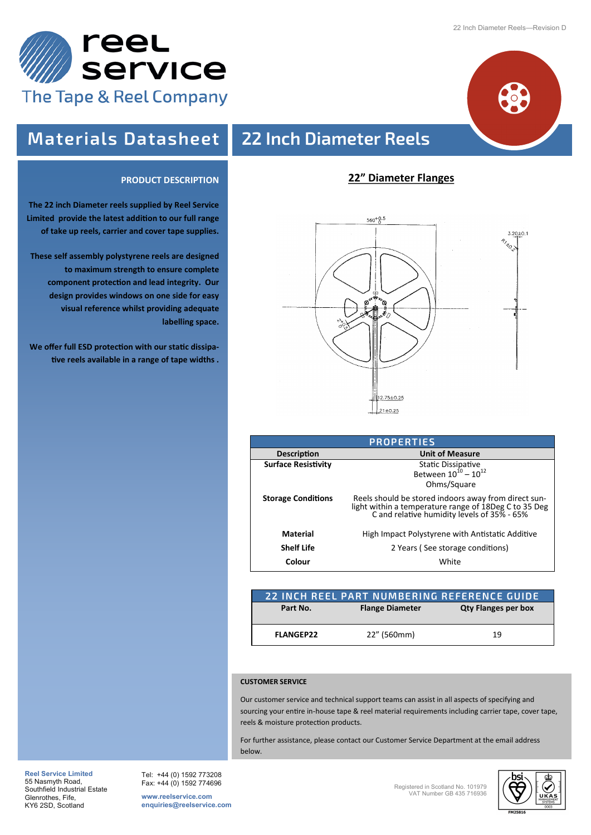

**The 22 inch Diameter reels supplied by Reel Service Limited provide the latest addition to our full range of take up reels, carrier and cover tape supplies.**

**These self assembly polystyrene reels are designed** 

**We offer full ESD protection with our static dissipative reels available in a range of tape widths .**

**to maximum strength to ensure complete component protection and lead integrity. Our design provides windows on one side for easy visual reference whilst providing adequate** 

**PRODUCT DESCRIPTION**

**labelling space.**



# **Materials Datasheet 22 Inch Diameter Reels**

### **22" Diameter Flanges**



| <b>PROPERTIES</b>          |                                                                                                                                                              |  |  |  |
|----------------------------|--------------------------------------------------------------------------------------------------------------------------------------------------------------|--|--|--|
| <b>Description</b>         | <b>Unit of Measure</b>                                                                                                                                       |  |  |  |
| <b>Surface Resistivity</b> | Static Dissipative<br>Between $10^{10} - 10^{12}$<br>Ohms/Square                                                                                             |  |  |  |
| <b>Storage Conditions</b>  | Reels should be stored indoors away from direct sun-<br>light within a temperature range of 18Deg C to 35 Deg<br>C and relative humidity levels of 35% - 65% |  |  |  |
| Material                   | High Impact Polystyrene with Antistatic Additive                                                                                                             |  |  |  |
| <b>Shelf Life</b>          | 2 Years (See storage conditions)                                                                                                                             |  |  |  |
| Colour                     | White                                                                                                                                                        |  |  |  |

|                  |                        | 22 INCH REEL PART NUMBERING REFERENCE GUIDE |  |
|------------------|------------------------|---------------------------------------------|--|
| Part No.         | <b>Flange Diameter</b> | <b>Qty Flanges per box</b>                  |  |
| <b>FLANGEP22</b> | 22" (560mm)            | 19                                          |  |

### **CUSTOMER SERVICE**

Our customer service and technical support teams can assist in all aspects of specifying and sourcing your entire in-house tape & reel material requirements including carrier tape, cover tape, reels & moisture protection products.

For further assistance, please contact our Customer Service Department at the email address below.

**Reel Service Limited**  55 Nasmyth Road, Southfield Industrial Estate Glenrothes, Fife, KY6 2SD, Scotland

Tel: +44 (0) 1592 773208 Fax: +44 (0) 1592 774696

**www.reelservice.com enquiries@reelservice.com** Registered in Scotland No. 101979 VAT Number GB 435 716936